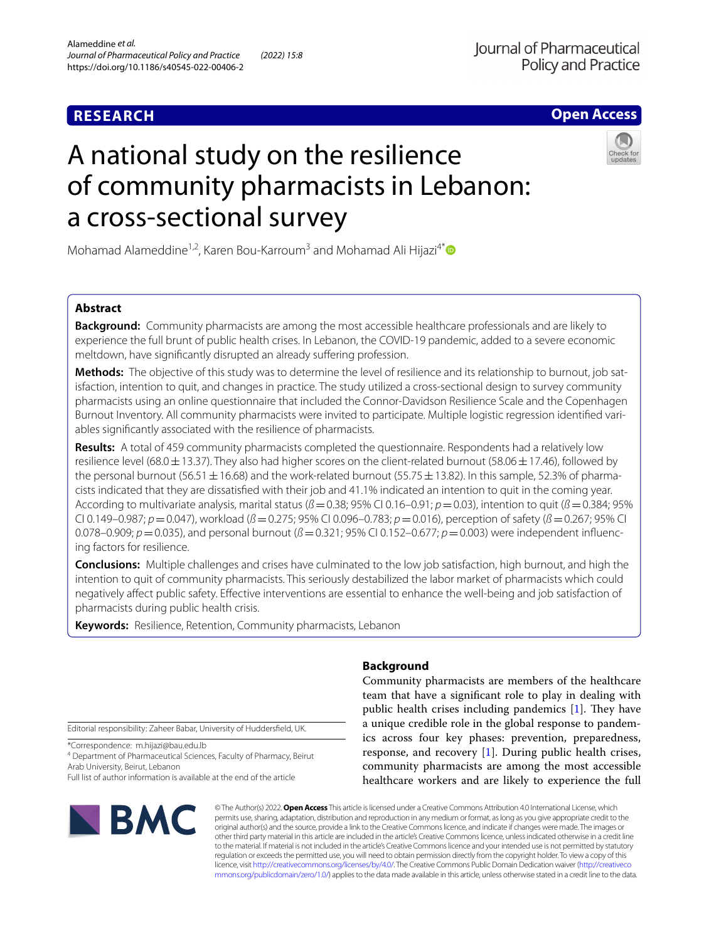# **RESEARCH**

**Open Access**

# A national study on the resilience of community pharmacists in Lebanon: a cross-sectional survey



Mohamad Alameddine<sup>1,2</sup>, Karen Bou-Karroum<sup>3</sup> and Mohamad Ali Hijazi<sup>4[\\*](http://orcid.org/0000-0002-9829-235X)</sup>

# **Abstract**

**Background:** Community pharmacists are among the most accessible healthcare professionals and are likely to experience the full brunt of public health crises. In Lebanon, the COVID-19 pandemic, added to a severe economic meltdown, have significantly disrupted an already suffering profession.

**Methods:** The objective of this study was to determine the level of resilience and its relationship to burnout, job satisfaction, intention to quit, and changes in practice. The study utilized a cross-sectional design to survey community pharmacists using an online questionnaire that included the Connor-Davidson Resilience Scale and the Copenhagen Burnout Inventory. All community pharmacists were invited to participate. Multiple logistic regression identified variables signifcantly associated with the resilience of pharmacists.

**Results:** A total of 459 community pharmacists completed the questionnaire. Respondents had a relatively low resilience level (68.0 $\pm$ 13.37). They also had higher scores on the client-related burnout (58.06 $\pm$ 17.46), followed by the personal burnout (56.51  $\pm$  16.68) and the work-related burnout (55.75  $\pm$  13.82). In this sample, 52.3% of pharmacists indicated that they are dissatisfed with their job and 41.1% indicated an intention to quit in the coming year. According to multivariate analysis, marital status (*ß*=0.38; 95% CI 0.16–0.91; *p*=0.03), intention to quit (*ß*=0.384; 95% CI 0.149–0.987; *p*=0.047), workload (*ß*=0.275; 95% CI 0.096–0.783; *p*=0.016), perception of safety (*ß*=0.267; 95% CI 0.078–0.909;  $p = 0.035$ ), and personal burnout ( $\beta = 0.321$ ; 95% CI 0.152–0.677;  $p = 0.003$ ) were independent influencing factors for resilience.

**Conclusions:** Multiple challenges and crises have culminated to the low job satisfaction, high burnout, and high the intention to quit of community pharmacists. This seriously destabilized the labor market of pharmacists which could negatively afect public safety. Efective interventions are essential to enhance the well-being and job satisfaction of pharmacists during public health crisis.

**Keywords:** Resilience, Retention, Community pharmacists, Lebanon

Editorial responsibility: Zaheer Babar, University of Huddersfeld, UK.

\*Correspondence: m.hijazi@bau.edu.lb

4 Department of Pharmaceutical Sciences, Faculty of Pharmacy, Beirut Arab University, Beirut, Lebanon

Full list of author information is available at the end of the article



# **Background**

Community pharmacists are members of the healthcare team that have a signifcant role to play in dealing with public health crises including pandemics  $[1]$  $[1]$ . They have a unique credible role in the global response to pandemics across four key phases: prevention, preparedness, response, and recovery [[1\]](#page-8-0). During public health crises, community pharmacists are among the most accessible healthcare workers and are likely to experience the full

© The Author(s) 2022. **Open Access** This article is licensed under a Creative Commons Attribution 4.0 International License, which permits use, sharing, adaptation, distribution and reproduction in any medium or format, as long as you give appropriate credit to the original author(s) and the source, provide a link to the Creative Commons licence, and indicate if changes were made. The images or other third party material in this article are included in the article's Creative Commons licence, unless indicated otherwise in a credit line to the material. If material is not included in the article's Creative Commons licence and your intended use is not permitted by statutory regulation or exceeds the permitted use, you will need to obtain permission directly from the copyright holder. To view a copy of this licence, visit [http://creativecommons.org/licenses/by/4.0/.](http://creativecommons.org/licenses/by/4.0/) The Creative Commons Public Domain Dedication waiver ([http://creativeco](http://creativecommons.org/publicdomain/zero/1.0/) [mmons.org/publicdomain/zero/1.0/](http://creativecommons.org/publicdomain/zero/1.0/)) applies to the data made available in this article, unless otherwise stated in a credit line to the data.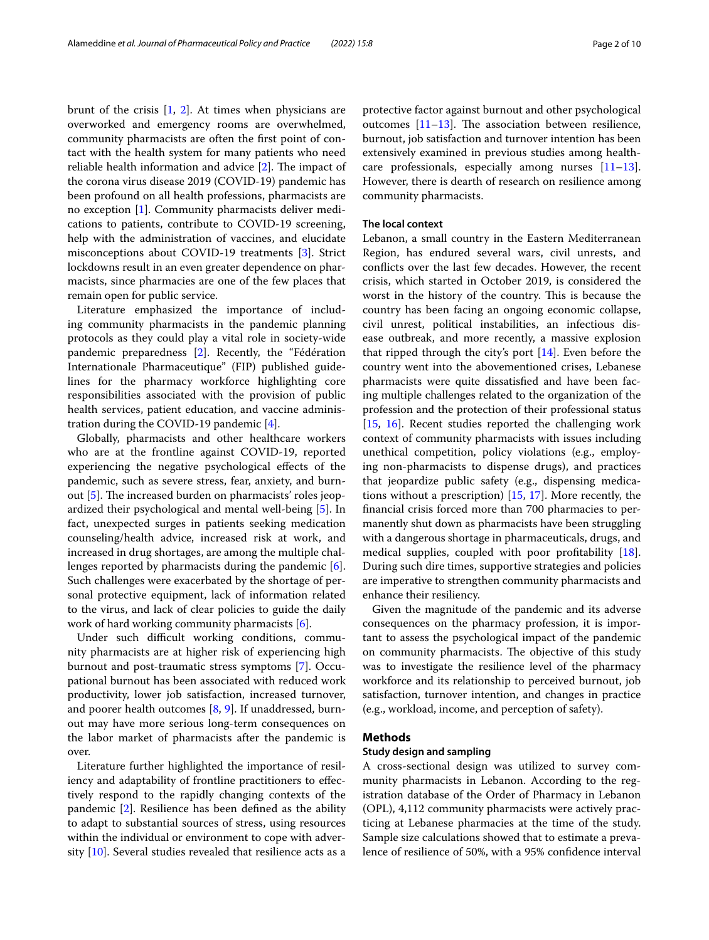brunt of the crisis  $[1, 2]$  $[1, 2]$  $[1, 2]$  $[1, 2]$  $[1, 2]$ . At times when physicians are overworked and emergency rooms are overwhelmed, community pharmacists are often the frst point of contact with the health system for many patients who need reliable health information and advice  $[2]$  $[2]$ . The impact of the corona virus disease 2019 (COVID-19) pandemic has been profound on all health professions, pharmacists are no exception [\[1](#page-8-0)]. Community pharmacists deliver medications to patients, contribute to COVID-19 screening, help with the administration of vaccines, and elucidate misconceptions about COVID-19 treatments [[3\]](#page-8-2). Strict lockdowns result in an even greater dependence on pharmacists, since pharmacies are one of the few places that remain open for public service.

Literature emphasized the importance of including community pharmacists in the pandemic planning protocols as they could play a vital role in society-wide pandemic preparedness [[2\]](#page-8-1). Recently, the "Fédération Internationale Pharmaceutique" (FIP) published guidelines for the pharmacy workforce highlighting core responsibilities associated with the provision of public health services, patient education, and vaccine administration during the COVID-19 pandemic [\[4](#page-8-3)].

Globally, pharmacists and other healthcare workers who are at the frontline against COVID-19, reported experiencing the negative psychological efects of the pandemic, such as severe stress, fear, anxiety, and burn-out [\[5\]](#page-8-4). The increased burden on pharmacists' roles jeopardized their psychological and mental well-being [[5](#page-8-4)]. In fact, unexpected surges in patients seeking medication counseling/health advice, increased risk at work, and increased in drug shortages, are among the multiple challenges reported by pharmacists during the pandemic [\[6](#page-8-5)]. Such challenges were exacerbated by the shortage of personal protective equipment, lack of information related to the virus, and lack of clear policies to guide the daily work of hard working community pharmacists [[6\]](#page-8-5).

Under such difficult working conditions, community pharmacists are at higher risk of experiencing high burnout and post-traumatic stress symptoms [\[7](#page-8-6)]. Occupational burnout has been associated with reduced work productivity, lower job satisfaction, increased turnover, and poorer health outcomes [[8,](#page-8-7) [9\]](#page-8-8). If unaddressed, burnout may have more serious long-term consequences on the labor market of pharmacists after the pandemic is over.

Literature further highlighted the importance of resiliency and adaptability of frontline practitioners to efectively respond to the rapidly changing contexts of the pandemic [[2\]](#page-8-1). Resilience has been defned as the ability to adapt to substantial sources of stress, using resources within the individual or environment to cope with adversity [[10\]](#page-8-9). Several studies revealed that resilience acts as a protective factor against burnout and other psychological outcomes  $[11-13]$  $[11-13]$ . The association between resilience, burnout, job satisfaction and turnover intention has been extensively examined in previous studies among healthcare professionals, especially among nurses [[11](#page-8-10)[–13](#page-8-11)]. However, there is dearth of research on resilience among community pharmacists.

# **The local context**

Lebanon, a small country in the Eastern Mediterranean Region, has endured several wars, civil unrests, and conficts over the last few decades. However, the recent crisis, which started in October 2019, is considered the worst in the history of the country. This is because the country has been facing an ongoing economic collapse, civil unrest, political instabilities, an infectious disease outbreak, and more recently, a massive explosion that ripped through the city's port [[14\]](#page-8-12). Even before the country went into the abovementioned crises, Lebanese pharmacists were quite dissatisfed and have been facing multiple challenges related to the organization of the profession and the protection of their professional status [[15,](#page-8-13) [16](#page-9-0)]. Recent studies reported the challenging work context of community pharmacists with issues including unethical competition, policy violations (e.g., employing non-pharmacists to dispense drugs), and practices that jeopardize public safety (e.g., dispensing medications without a prescription) [[15](#page-8-13), [17](#page-9-1)]. More recently, the fnancial crisis forced more than 700 pharmacies to permanently shut down as pharmacists have been struggling with a dangerous shortage in pharmaceuticals, drugs, and medical supplies, coupled with poor proftability [\[18](#page-9-2)]. During such dire times, supportive strategies and policies are imperative to strengthen community pharmacists and enhance their resiliency.

Given the magnitude of the pandemic and its adverse consequences on the pharmacy profession, it is important to assess the psychological impact of the pandemic on community pharmacists. The objective of this study was to investigate the resilience level of the pharmacy workforce and its relationship to perceived burnout, job satisfaction, turnover intention, and changes in practice (e.g., workload, income, and perception of safety).

# **Methods**

# **Study design and sampling**

A cross-sectional design was utilized to survey community pharmacists in Lebanon. According to the registration database of the Order of Pharmacy in Lebanon (OPL), 4,112 community pharmacists were actively practicing at Lebanese pharmacies at the time of the study. Sample size calculations showed that to estimate a prevalence of resilience of 50%, with a 95% confdence interval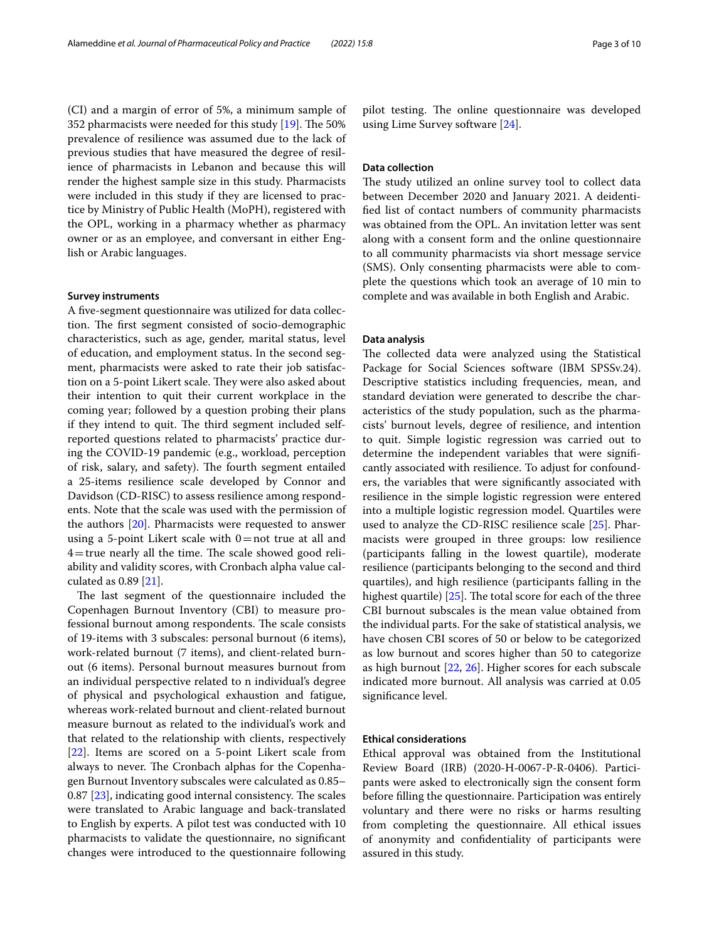(CI) and a margin of error of 5%, a minimum sample of 352 pharmacists were needed for this study  $[19]$  $[19]$  $[19]$ . The 50% prevalence of resilience was assumed due to the lack of previous studies that have measured the degree of resilience of pharmacists in Lebanon and because this will render the highest sample size in this study. Pharmacists were included in this study if they are licensed to practice by Ministry of Public Health (MoPH), registered with the OPL, working in a pharmacy whether as pharmacy owner or as an employee, and conversant in either English or Arabic languages.

### **Survey instruments**

A fve-segment questionnaire was utilized for data collection. The first segment consisted of socio-demographic characteristics, such as age, gender, marital status, level of education, and employment status. In the second segment, pharmacists were asked to rate their job satisfaction on a 5-point Likert scale. They were also asked about their intention to quit their current workplace in the coming year; followed by a question probing their plans if they intend to quit. The third segment included selfreported questions related to pharmacists' practice during the COVID-19 pandemic (e.g., workload, perception of risk, salary, and safety). The fourth segment entailed a 25-items resilience scale developed by Connor and Davidson (CD-RISC) to assess resilience among respondents. Note that the scale was used with the permission of the authors [[20\]](#page-9-4). Pharmacists were requested to answer using a 5-point Likert scale with  $0=$  not true at all and  $4$ =true nearly all the time. The scale showed good reliability and validity scores, with Cronbach alpha value calculated as 0.89 [\[21\]](#page-9-5).

The last segment of the questionnaire included the Copenhagen Burnout Inventory (CBI) to measure professional burnout among respondents. The scale consists of 19-items with 3 subscales: personal burnout (6 items), work-related burnout (7 items), and client-related burnout (6 items). Personal burnout measures burnout from an individual perspective related to n individual's degree of physical and psychological exhaustion and fatigue, whereas work-related burnout and client-related burnout measure burnout as related to the individual's work and that related to the relationship with clients, respectively [[22\]](#page-9-6). Items are scored on a 5-point Likert scale from always to never. The Cronbach alphas for the Copenhagen Burnout Inventory subscales were calculated as 0.85–  $0.87$  [ $23$ ], indicating good internal consistency. The scales were translated to Arabic language and back-translated to English by experts. A pilot test was conducted with 10 pharmacists to validate the questionnaire, no signifcant changes were introduced to the questionnaire following pilot testing. The online questionnaire was developed using Lime Survey software [[24\]](#page-9-8).

# **Data collection**

The study utilized an online survey tool to collect data between December 2020 and January 2021. A deidentifed list of contact numbers of community pharmacists was obtained from the OPL. An invitation letter was sent along with a consent form and the online questionnaire to all community pharmacists via short message service (SMS). Only consenting pharmacists were able to complete the questions which took an average of 10 min to complete and was available in both English and Arabic.

## **Data analysis**

The collected data were analyzed using the Statistical Package for Social Sciences software (IBM SPSSv.24). Descriptive statistics including frequencies, mean, and standard deviation were generated to describe the characteristics of the study population, such as the pharmacists' burnout levels, degree of resilience, and intention to quit. Simple logistic regression was carried out to determine the independent variables that were signifcantly associated with resilience. To adjust for confounders, the variables that were signifcantly associated with resilience in the simple logistic regression were entered into a multiple logistic regression model. Quartiles were used to analyze the CD-RISC resilience scale [[25\]](#page-9-9). Pharmacists were grouped in three groups: low resilience (participants falling in the lowest quartile), moderate resilience (participants belonging to the second and third quartiles), and high resilience (participants falling in the highest quartile)  $[25]$ . The total score for each of the three CBI burnout subscales is the mean value obtained from the individual parts. For the sake of statistical analysis, we have chosen CBI scores of 50 or below to be categorized as low burnout and scores higher than 50 to categorize as high burnout [\[22](#page-9-6), [26\]](#page-9-10). Higher scores for each subscale indicated more burnout. All analysis was carried at 0.05 signifcance level.

## **Ethical considerations**

Ethical approval was obtained from the Institutional Review Board (IRB) (2020-H-0067-P-R-0406). Participants were asked to electronically sign the consent form before flling the questionnaire. Participation was entirely voluntary and there were no risks or harms resulting from completing the questionnaire. All ethical issues of anonymity and confdentiality of participants were assured in this study.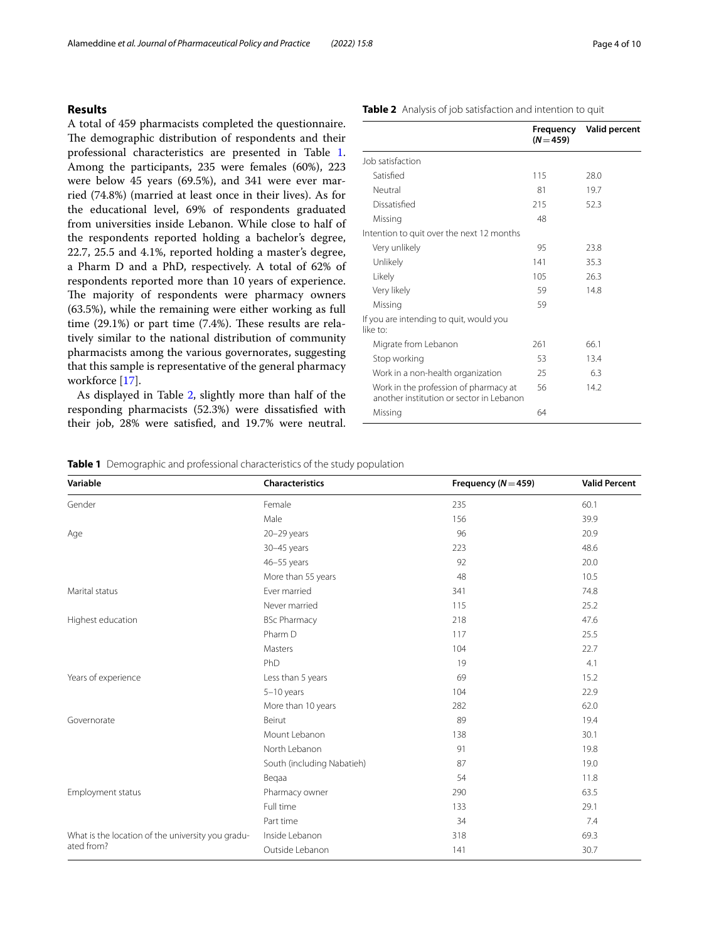# **Results**

A total of 459 pharmacists completed the questionnaire. The demographic distribution of respondents and their professional characteristics are presented in Table [1](#page-3-0). Among the participants, 235 were females (60%), 223 were below 45 years (69.5%), and 341 were ever married (74.8%) (married at least once in their lives). As for the educational level, 69% of respondents graduated from universities inside Lebanon. While close to half of the respondents reported holding a bachelor's degree, 22.7, 25.5 and 4.1%, reported holding a master's degree, a Pharm D and a PhD, respectively. A total of 62% of respondents reported more than 10 years of experience. The majority of respondents were pharmacy owners (63.5%), while the remaining were either working as full time  $(29.1\%)$  or part time  $(7.4\%)$ . These results are relatively similar to the national distribution of community pharmacists among the various governorates, suggesting that this sample is representative of the general pharmacy workforce [\[17](#page-9-1)].

As displayed in Table [2](#page-3-1), slightly more than half of the responding pharmacists (52.3%) were dissatisfed with their job, 28% were satisfed, and 19.7% were neutral.

|                                                                                   | Frequency<br>$(N = 459)$ | <b>Valid percent</b> |
|-----------------------------------------------------------------------------------|--------------------------|----------------------|
| Job satisfaction                                                                  |                          |                      |
| Satisfied                                                                         | 115                      | 28.0                 |
| Neutral                                                                           | 81                       | 19.7                 |
| Dissatisfied                                                                      | 215                      | 52.3                 |
| Missing                                                                           | 48                       |                      |
| Intention to quit over the next 12 months                                         |                          |                      |
| Very unlikely                                                                     | 95                       | 23.8                 |
| Unlikely                                                                          | 141                      | 35.3                 |
| Likely                                                                            | 105                      | 26.3                 |
| Very likely                                                                       | 59                       | 14.8                 |
| Missing                                                                           | 59                       |                      |
| If you are intending to quit, would you<br>like to:                               |                          |                      |
| Migrate from Lebanon                                                              | 261                      | 66.1                 |
| Stop working                                                                      | 53                       | 13.4                 |
| Work in a non-health organization                                                 | 25                       | 6.3                  |
| Work in the profession of pharmacy at<br>another institution or sector in Lebanon | 56                       | 14.2                 |

Missing 64

<span id="page-3-0"></span>**Table 1** Demographic and professional characteristics of the study population

| Variable                                          | Characteristics            | Frequency ( $N = 459$ ) | <b>Valid Percent</b> |
|---------------------------------------------------|----------------------------|-------------------------|----------------------|
| Gender                                            | Female                     | 235                     | 60.1                 |
|                                                   | Male                       | 156                     | 39.9                 |
| Age                                               | 20-29 years                | 96                      | 20.9                 |
|                                                   | 30-45 years                | 223                     | 48.6                 |
|                                                   | 46-55 years                | 92                      | 20.0                 |
|                                                   | More than 55 years         | 48                      | 10.5                 |
| Marital status                                    | Ever married               | 341                     | 74.8                 |
|                                                   | Never married              | 115                     | 25.2                 |
| Highest education                                 | <b>BSc Pharmacy</b>        | 218                     | 47.6                 |
|                                                   | Pharm D                    | 117                     | 25.5                 |
|                                                   | Masters                    | 104                     | 22.7                 |
|                                                   | PhD                        | 19                      | 4.1                  |
| Years of experience                               | Less than 5 years          | 69                      | 15.2                 |
|                                                   | $5-10$ years               | 104                     | 22.9                 |
|                                                   | More than 10 years         | 282                     | 62.0                 |
| Governorate                                       | Beirut                     | 89                      | 19.4                 |
|                                                   | Mount Lebanon              | 138                     | 30.1                 |
|                                                   | North Lebanon              | 91                      | 19.8                 |
|                                                   | South (including Nabatieh) | 87                      | 19.0                 |
|                                                   | Begaa                      | 54                      | 11.8                 |
| Employment status                                 | Pharmacy owner             | 290                     | 63.5                 |
|                                                   | Full time                  | 133                     | 29.1                 |
|                                                   | Part time                  | 34                      | 7.4                  |
| What is the location of the university you gradu- | Inside Lebanon             | 318                     | 69.3                 |
| ated from?                                        | Outside Lebanon            | 141                     | 30.7                 |

# <span id="page-3-1"></span>**Table 2** Analysis of job satisfaction and intention to quit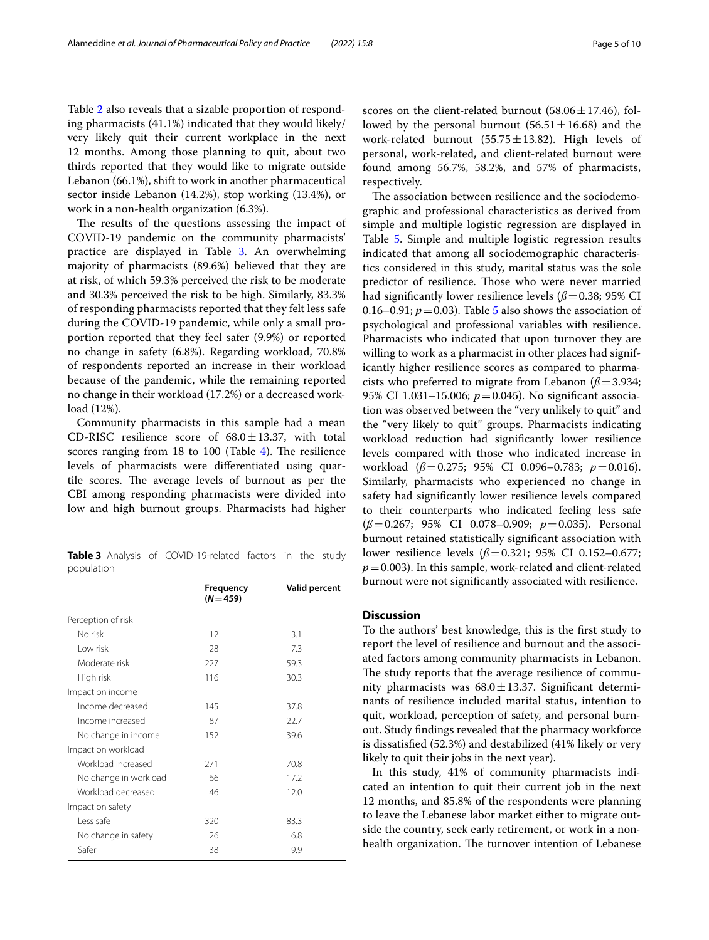Table [2](#page-3-1) also reveals that a sizable proportion of responding pharmacists (41.1%) indicated that they would likely/ very likely quit their current workplace in the next 12 months. Among those planning to quit, about two thirds reported that they would like to migrate outside Lebanon (66.1%), shift to work in another pharmaceutical sector inside Lebanon (14.2%), stop working (13.4%), or work in a non-health organization (6.3%).

The results of the questions assessing the impact of COVID-19 pandemic on the community pharmacists' practice are displayed in Table [3](#page-4-0). An overwhelming majority of pharmacists (89.6%) believed that they are at risk, of which 59.3% perceived the risk to be moderate and 30.3% perceived the risk to be high. Similarly, 83.3% of responding pharmacists reported that they felt less safe during the COVID-19 pandemic, while only a small proportion reported that they feel safer (9.9%) or reported no change in safety (6.8%). Regarding workload, 70.8% of respondents reported an increase in their workload because of the pandemic, while the remaining reported no change in their workload (17.2%) or a decreased workload (12%).

Community pharmacists in this sample had a mean CD-RISC resilience score of  $68.0 \pm 13.37$ , with total scores ranging from  $18$  to  $100$  (Table [4\)](#page-5-0). The resilience levels of pharmacists were diferentiated using quartile scores. The average levels of burnout as per the CBI among responding pharmacists were divided into low and high burnout groups. Pharmacists had higher

<span id="page-4-0"></span>**Table 3** Analysis of COVID-19-related factors in the study population

|                       | Frequency<br>$(N = 459)$ | <b>Valid percent</b> |
|-----------------------|--------------------------|----------------------|
| Perception of risk    |                          |                      |
| No risk               | 12                       | 3.1                  |
| I ow risk             | 28                       | 7.3                  |
| Moderate risk         | 227                      | 59.3                 |
| High risk             | 116                      | 30.3                 |
| Impact on income      |                          |                      |
| Income decreased      | 145                      | 37.8                 |
| Income increased      | 87                       | 22.7                 |
| No change in income   | 152                      | 39.6                 |
| Impact on workload    |                          |                      |
| Workload increased    | 271                      | 70.8                 |
| No change in workload | 66                       | 17.2                 |
| Workload decreased    | 46                       | 12.0                 |
| Impact on safety      |                          |                      |
| Less safe             | 320                      | 83.3                 |
| No change in safety   | 26                       | 6.8                  |
| Safer                 | 38                       | 9.9                  |

scores on the client-related burnout  $(58.06 \pm 17.46)$ , followed by the personal burnout  $(56.51 \pm 16.68)$  and the work-related burnout (55.75 $\pm$ 13.82). High levels of personal, work-related, and client-related burnout were found among 56.7%, 58.2%, and 57% of pharmacists, respectively.

The association between resilience and the sociodemographic and professional characteristics as derived from simple and multiple logistic regression are displayed in Table [5.](#page-6-0) Simple and multiple logistic regression results indicated that among all sociodemographic characteristics considered in this study, marital status was the sole predictor of resilience. Those who were never married had significantly lower resilience levels  $(\beta = 0.38; 95\% \text{ CI})$ 0.16–0.91;  $p = 0.03$ ). Table [5](#page-6-0) also shows the association of psychological and professional variables with resilience. Pharmacists who indicated that upon turnover they are willing to work as a pharmacist in other places had significantly higher resilience scores as compared to pharmacists who preferred to migrate from Lebanon  $(\beta = 3.934;$ 95% CI 1.031–15.006; *p*=0.045). No signifcant association was observed between the "very unlikely to quit" and the "very likely to quit" groups. Pharmacists indicating workload reduction had signifcantly lower resilience levels compared with those who indicated increase in workload (*ß*=0.275; 95% CI 0.096–0.783; *p*=0.016). Similarly, pharmacists who experienced no change in safety had signifcantly lower resilience levels compared to their counterparts who indicated feeling less safe (*ß*=0.267; 95% CI 0.078–0.909; *p*=0.035). Personal burnout retained statistically signifcant association with lower resilience levels (*ß*=0.321; 95% CI 0.152–0.677;  $p=0.003$ ). In this sample, work-related and client-related burnout were not signifcantly associated with resilience.

# **Discussion**

To the authors' best knowledge, this is the frst study to report the level of resilience and burnout and the associated factors among community pharmacists in Lebanon. The study reports that the average resilience of community pharmacists was  $68.0 \pm 13.37$ . Significant determinants of resilience included marital status, intention to quit, workload, perception of safety, and personal burnout. Study fndings revealed that the pharmacy workforce is dissatisfed (52.3%) and destabilized (41% likely or very likely to quit their jobs in the next year).

In this study, 41% of community pharmacists indicated an intention to quit their current job in the next 12 months, and 85.8% of the respondents were planning to leave the Lebanese labor market either to migrate outside the country, seek early retirement, or work in a nonhealth organization. The turnover intention of Lebanese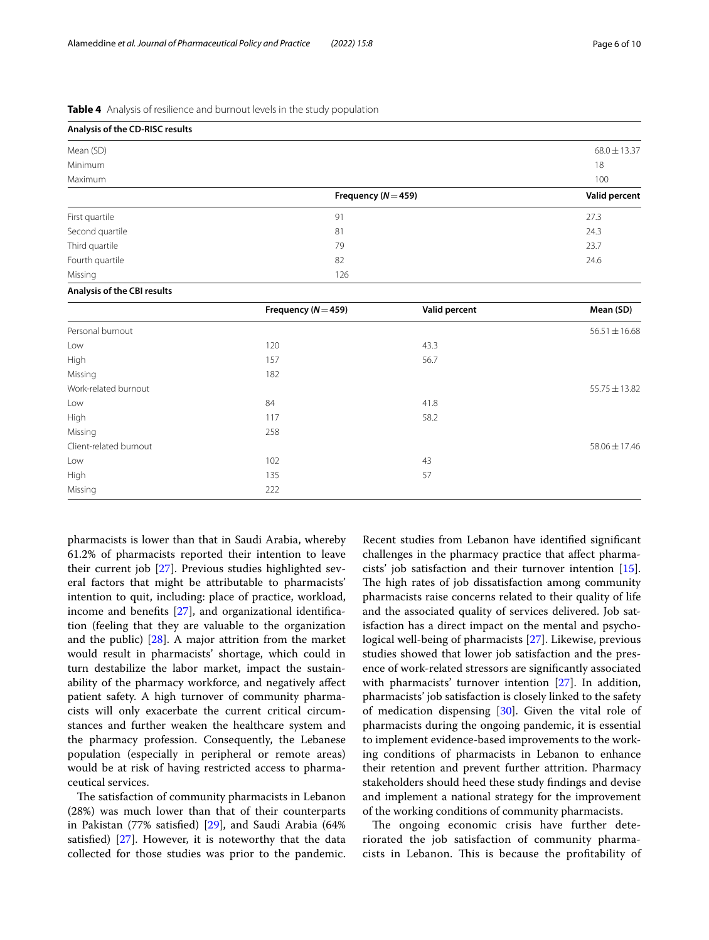<span id="page-5-0"></span>

|  |  | Table 4 Analysis of resilience and burnout levels in the study population |  |  |  |  |
|--|--|---------------------------------------------------------------------------|--|--|--|--|
|--|--|---------------------------------------------------------------------------|--|--|--|--|

| Analysis of the CD-RISC results |                         |                  |
|---------------------------------|-------------------------|------------------|
| Mean (SD)                       |                         | $68.0 \pm 13.37$ |
| Minimum                         |                         | 18               |
| Maximum                         |                         | 100              |
|                                 | Frequency ( $N = 459$ ) | Valid percent    |
| First quartile                  | 91                      | 27.3             |
| Second quartile                 | 81                      | 24.3             |
| Third quartile                  | 79                      | 23.7             |
| Fourth quartile                 | 82                      | 24.6             |
| Missing                         | 126                     |                  |

#### **Analysis of the CBI results**

|                        | Frequency ( $N = 459$ ) | Valid percent | Mean (SD)         |
|------------------------|-------------------------|---------------|-------------------|
| Personal burnout       |                         |               | $56.51 \pm 16.68$ |
| Low                    | 120                     | 43.3          |                   |
| High                   | 157                     | 56.7          |                   |
| Missing                | 182                     |               |                   |
| Work-related burnout   |                         |               | $55.75 \pm 13.82$ |
| Low                    | 84                      | 41.8          |                   |
| High                   | 117                     | 58.2          |                   |
| Missing                | 258                     |               |                   |
| Client-related burnout |                         |               | $58.06 \pm 17.46$ |
| Low                    | 102                     | 43            |                   |
| High                   | 135                     | 57            |                   |
| Missing                | 222                     |               |                   |

pharmacists is lower than that in Saudi Arabia, whereby 61.2% of pharmacists reported their intention to leave their current job [\[27](#page-9-11)]. Previous studies highlighted several factors that might be attributable to pharmacists' intention to quit, including: place of practice, workload, income and benefts [[27\]](#page-9-11), and organizational identifcation (feeling that they are valuable to the organization and the public) [\[28\]](#page-9-12). A major attrition from the market would result in pharmacists' shortage, which could in turn destabilize the labor market, impact the sustainability of the pharmacy workforce, and negatively afect patient safety. A high turnover of community pharmacists will only exacerbate the current critical circumstances and further weaken the healthcare system and the pharmacy profession. Consequently, the Lebanese population (especially in peripheral or remote areas) would be at risk of having restricted access to pharmaceutical services.

The satisfaction of community pharmacists in Lebanon (28%) was much lower than that of their counterparts in Pakistan (77% satisfed) [\[29](#page-9-13)], and Saudi Arabia (64% satisfed) [[27](#page-9-11)]. However, it is noteworthy that the data collected for those studies was prior to the pandemic. Recent studies from Lebanon have identifed signifcant challenges in the pharmacy practice that afect pharmacists' job satisfaction and their turnover intention [\[15](#page-8-13)]. The high rates of job dissatisfaction among community pharmacists raise concerns related to their quality of life and the associated quality of services delivered. Job satisfaction has a direct impact on the mental and psychological well-being of pharmacists [\[27\]](#page-9-11). Likewise, previous studies showed that lower job satisfaction and the presence of work-related stressors are signifcantly associated with pharmacists' turnover intention [\[27](#page-9-11)]. In addition, pharmacists' job satisfaction is closely linked to the safety of medication dispensing  $[30]$  $[30]$ . Given the vital role of pharmacists during the ongoing pandemic, it is essential to implement evidence-based improvements to the working conditions of pharmacists in Lebanon to enhance their retention and prevent further attrition. Pharmacy stakeholders should heed these study fndings and devise and implement a national strategy for the improvement of the working conditions of community pharmacists.

The ongoing economic crisis have further deteriorated the job satisfaction of community pharmacists in Lebanon. This is because the profitability of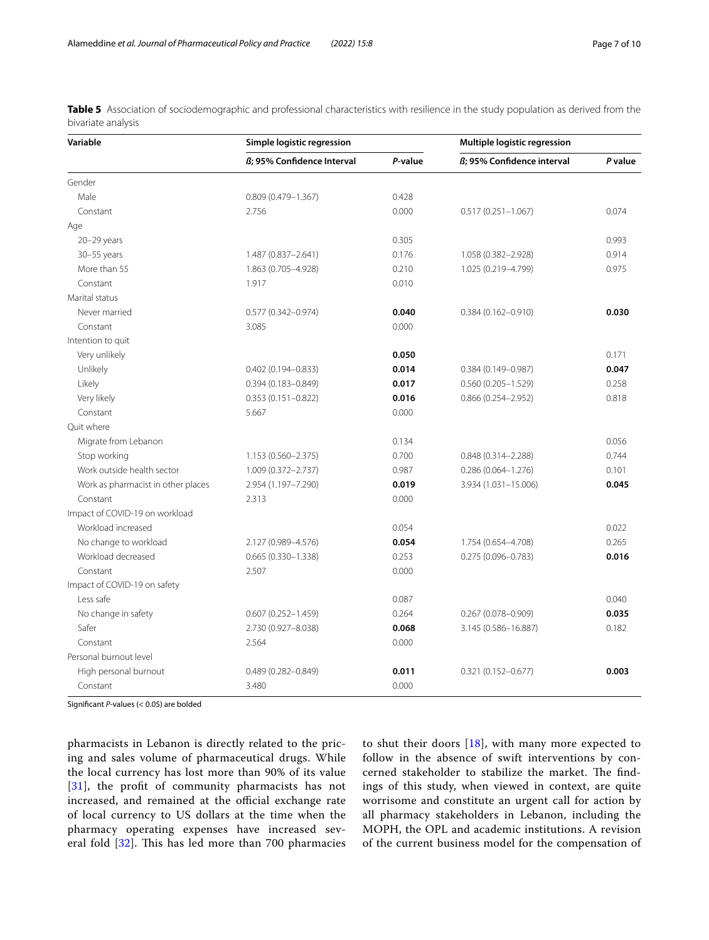| Variable                           | Simple logistic regression |         | Multiple logistic regression |         |
|------------------------------------|----------------------------|---------|------------------------------|---------|
|                                    | ß; 95% Confidence Interval | P-value | ß; 95% Confidence interval   | P value |
| Gender                             |                            |         |                              |         |
| Male                               | $0.809(0.479 - 1.367)$     | 0.428   |                              |         |
| Constant                           | 2.756                      | 0.000   | $0.517(0.251 - 1.067)$       | 0.074   |
| Age                                |                            |         |                              |         |
| 20-29 years                        |                            | 0.305   |                              | 0.993   |
| $30 - 55$ years                    | 1.487 (0.837-2.641)        | 0.176   | 1.058 (0.382-2.928)          | 0.914   |
| More than 55                       | 1.863 (0.705-4.928)        | 0.210   | 1.025 (0.219-4.799)          | 0.975   |
| Constant                           | 1.917                      | 0.010   |                              |         |
| Marital status                     |                            |         |                              |         |
| Never married                      | $0.577(0.342 - 0.974)$     | 0.040   | $0.384(0.162 - 0.910)$       | 0.030   |
| Constant                           | 3.085                      | 0.000   |                              |         |
| Intention to quit                  |                            |         |                              |         |
| Very unlikely                      |                            | 0.050   |                              | 0.171   |
| Unlikely                           | $0.402(0.194 - 0.833)$     | 0.014   | $0.384(0.149 - 0.987)$       | 0.047   |
| Likely                             | $0.394(0.183 - 0.849)$     | 0.017   | $0.560(0.205 - 1.529)$       | 0.258   |
| Very likely                        | $0.353(0.151 - 0.822)$     | 0.016   | $0.866(0.254 - 2.952)$       | 0.818   |
| Constant                           | 5.667                      | 0.000   |                              |         |
| Ouit where                         |                            |         |                              |         |
| Migrate from Lebanon               |                            | 0.134   |                              | 0.056   |
| Stop working                       | 1.153 (0.560-2.375)        | 0.700   | $0.848(0.314 - 2.288)$       | 0.744   |
| Work outside health sector         | 1.009 (0.372-2.737)        | 0.987   | $0.286(0.064 - 1.276)$       | 0.101   |
| Work as pharmacist in other places | 2.954 (1.197-7.290)        | 0.019   | 3.934 (1.031-15.006)         | 0.045   |
| Constant                           | 2.313                      | 0.000   |                              |         |
| Impact of COVID-19 on workload     |                            |         |                              |         |
| Workload increased                 |                            | 0.054   |                              | 0.022   |
| No change to workload              | 2.127 (0.989-4.576)        | 0.054   | 1.754 (0.654-4.708)          | 0.265   |
| Workload decreased                 | $0.665(0.330 - 1.338)$     | 0.253   | $0.275(0.096 - 0.783)$       | 0.016   |
| Constant                           | 2.507                      | 0.000   |                              |         |
| Impact of COVID-19 on safety       |                            |         |                              |         |
| Less safe                          |                            | 0.087   |                              | 0.040   |
| No change in safety                | $0.607(0.252 - 1.459)$     | 0.264   | $0.267(0.078 - 0.909)$       | 0.035   |
| Safer                              | 2.730 (0.927-8.038)        | 0.068   | 3.145 (0.586-16.887)         | 0.182   |
| Constant                           | 2.564                      | 0.000   |                              |         |
| Personal burnout level             |                            |         |                              |         |
| High personal burnout              | $0.489(0.282 - 0.849)$     | 0.011   | $0.321(0.152 - 0.677)$       | 0.003   |
| Constant                           | 3.480                      | 0.000   |                              |         |

<span id="page-6-0"></span>**Table 5** Association of sociodemographic and professional characteristics with resilience in the study population as derived from the bivariate analysis

Signifcant *P*-values (< 0.05) are bolded

pharmacists in Lebanon is directly related to the pricing and sales volume of pharmaceutical drugs. While the local currency has lost more than 90% of its value [[31](#page-9-15)], the profit of community pharmacists has not increased, and remained at the official exchange rate of local currency to US dollars at the time when the pharmacy operating expenses have increased several fold  $[32]$  $[32]$ . This has led more than 700 pharmacies to shut their doors [[18\]](#page-9-2), with many more expected to follow in the absence of swift interventions by concerned stakeholder to stabilize the market. The findings of this study, when viewed in context, are quite worrisome and constitute an urgent call for action by all pharmacy stakeholders in Lebanon, including the MOPH, the OPL and academic institutions. A revision of the current business model for the compensation of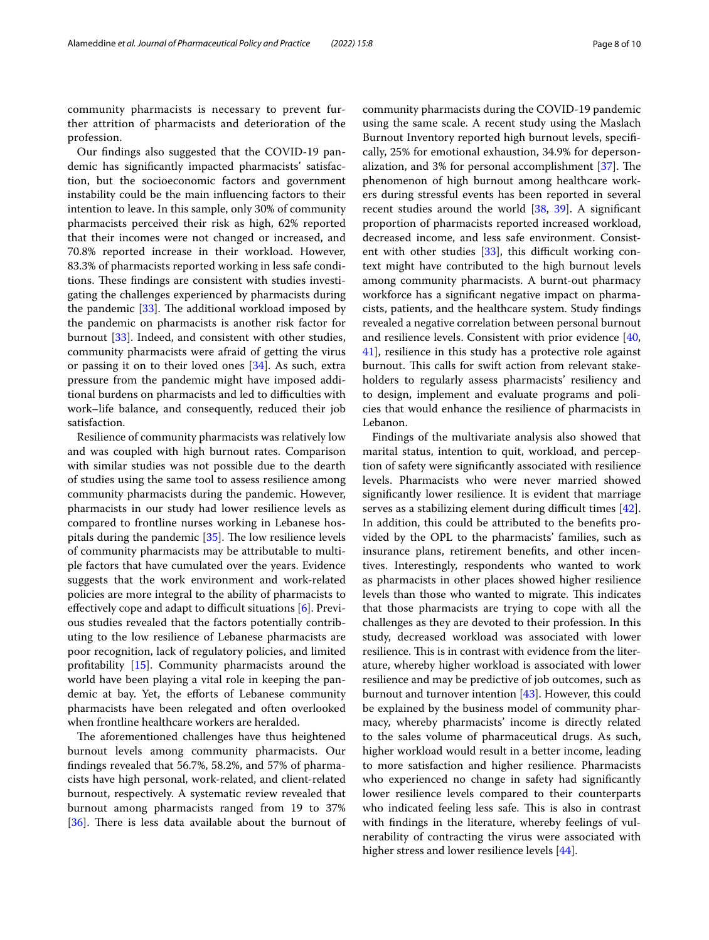community pharmacists is necessary to prevent further attrition of pharmacists and deterioration of the profession.

Our fndings also suggested that the COVID-19 pandemic has signifcantly impacted pharmacists' satisfaction, but the socioeconomic factors and government instability could be the main infuencing factors to their intention to leave. In this sample, only 30% of community pharmacists perceived their risk as high, 62% reported that their incomes were not changed or increased, and 70.8% reported increase in their workload. However, 83.3% of pharmacists reported working in less safe conditions. These findings are consistent with studies investigating the challenges experienced by pharmacists during the pandemic  $[33]$  $[33]$  $[33]$ . The additional workload imposed by the pandemic on pharmacists is another risk factor for burnout [[33\]](#page-9-17). Indeed, and consistent with other studies, community pharmacists were afraid of getting the virus or passing it on to their loved ones [\[34](#page-9-18)]. As such, extra pressure from the pandemic might have imposed additional burdens on pharmacists and led to difficulties with work–life balance, and consequently, reduced their job satisfaction.

Resilience of community pharmacists was relatively low and was coupled with high burnout rates. Comparison with similar studies was not possible due to the dearth of studies using the same tool to assess resilience among community pharmacists during the pandemic. However, pharmacists in our study had lower resilience levels as compared to frontline nurses working in Lebanese hospitals during the pandemic  $[35]$  $[35]$ . The low resilience levels of community pharmacists may be attributable to multiple factors that have cumulated over the years. Evidence suggests that the work environment and work-related policies are more integral to the ability of pharmacists to effectively cope and adapt to difficult situations  $[6]$  $[6]$ . Previous studies revealed that the factors potentially contributing to the low resilience of Lebanese pharmacists are poor recognition, lack of regulatory policies, and limited proftability [[15\]](#page-8-13). Community pharmacists around the world have been playing a vital role in keeping the pandemic at bay. Yet, the eforts of Lebanese community pharmacists have been relegated and often overlooked when frontline healthcare workers are heralded.

The aforementioned challenges have thus heightened burnout levels among community pharmacists. Our fndings revealed that 56.7%, 58.2%, and 57% of pharmacists have high personal, work-related, and client-related burnout, respectively. A systematic review revealed that burnout among pharmacists ranged from 19 to 37% [ $36$ ]. There is less data available about the burnout of community pharmacists during the COVID-19 pandemic using the same scale. A recent study using the Maslach Burnout Inventory reported high burnout levels, specifcally, 25% for emotional exhaustion, 34.9% for deperson-alization, and 3% for personal accomplishment [[37\]](#page-9-21). The phenomenon of high burnout among healthcare workers during stressful events has been reported in several recent studies around the world [\[38](#page-9-22), [39](#page-9-23)]. A signifcant proportion of pharmacists reported increased workload, decreased income, and less safe environment. Consistent with other studies  $[33]$ , this difficult working context might have contributed to the high burnout levels among community pharmacists. A burnt-out pharmacy workforce has a signifcant negative impact on pharmacists, patients, and the healthcare system. Study fndings revealed a negative correlation between personal burnout and resilience levels. Consistent with prior evidence [[40](#page-9-24), [41\]](#page-9-25), resilience in this study has a protective role against burnout. This calls for swift action from relevant stakeholders to regularly assess pharmacists' resiliency and to design, implement and evaluate programs and policies that would enhance the resilience of pharmacists in Lebanon.

Findings of the multivariate analysis also showed that marital status, intention to quit, workload, and perception of safety were signifcantly associated with resilience levels. Pharmacists who were never married showed signifcantly lower resilience. It is evident that marriage serves as a stabilizing element during difficult times  $[42]$  $[42]$ . In addition, this could be attributed to the benefts provided by the OPL to the pharmacists' families, such as insurance plans, retirement benefts, and other incentives. Interestingly, respondents who wanted to work as pharmacists in other places showed higher resilience levels than those who wanted to migrate. This indicates that those pharmacists are trying to cope with all the challenges as they are devoted to their profession. In this study, decreased workload was associated with lower resilience. This is in contrast with evidence from the literature, whereby higher workload is associated with lower resilience and may be predictive of job outcomes, such as burnout and turnover intention [[43\]](#page-9-27). However, this could be explained by the business model of community pharmacy, whereby pharmacists' income is directly related to the sales volume of pharmaceutical drugs. As such, higher workload would result in a better income, leading to more satisfaction and higher resilience. Pharmacists who experienced no change in safety had signifcantly lower resilience levels compared to their counterparts who indicated feeling less safe. This is also in contrast with fndings in the literature, whereby feelings of vulnerability of contracting the virus were associated with higher stress and lower resilience levels [\[44\]](#page-9-28).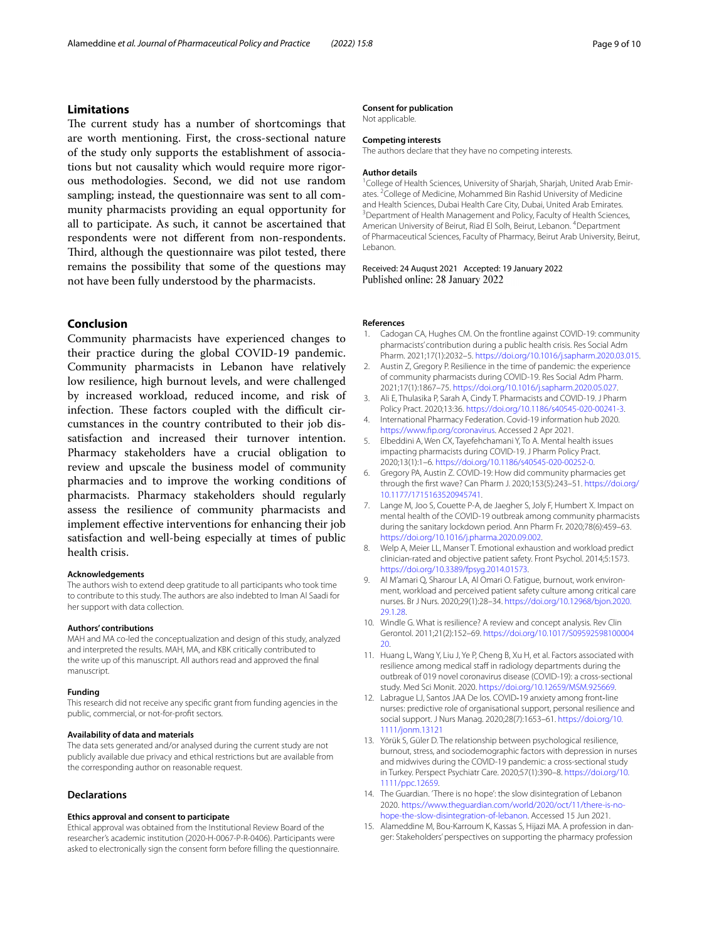# **Limitations**

The current study has a number of shortcomings that are worth mentioning. First, the cross-sectional nature of the study only supports the establishment of associations but not causality which would require more rigorous methodologies. Second, we did not use random sampling; instead, the questionnaire was sent to all community pharmacists providing an equal opportunity for all to participate. As such, it cannot be ascertained that respondents were not diferent from non-respondents. Third, although the questionnaire was pilot tested, there remains the possibility that some of the questions may not have been fully understood by the pharmacists.

# **Conclusion**

Community pharmacists have experienced changes to their practice during the global COVID-19 pandemic. Community pharmacists in Lebanon have relatively low resilience, high burnout levels, and were challenged by increased workload, reduced income, and risk of infection. These factors coupled with the difficult circumstances in the country contributed to their job dissatisfaction and increased their turnover intention. Pharmacy stakeholders have a crucial obligation to review and upscale the business model of community pharmacies and to improve the working conditions of pharmacists. Pharmacy stakeholders should regularly assess the resilience of community pharmacists and implement efective interventions for enhancing their job satisfaction and well-being especially at times of public health crisis.

#### **Acknowledgements**

The authors wish to extend deep gratitude to all participants who took time to contribute to this study. The authors are also indebted to Iman Al Saadi for her support with data collection.

#### **Authors' contributions**

MAH and MA co-led the conceptualization and design of this study, analyzed and interpreted the results. MAH, MA, and KBK critically contributed to the write up of this manuscript. All authors read and approved the fnal manuscript.

#### **Funding**

This research did not receive any specifc grant from funding agencies in the public, commercial, or not-for-proft sectors.

#### **Availability of data and materials**

The data sets generated and/or analysed during the current study are not publicly available due privacy and ethical restrictions but are available from the corresponding author on reasonable request.

#### **Declarations**

#### **Ethics approval and consent to participate**

Ethical approval was obtained from the Institutional Review Board of the researcher's academic institution (2020-H-0067-P-R-0406). Participants were asked to electronically sign the consent form before flling the questionnaire.

#### **Consent for publication**

Not applicable.

# **Competing interests**

The authors declare that they have no competing interests.

#### **Author details**

<sup>1</sup> College of Health Sciences, University of Sharjah, Sharjah, United Arab Emirates. <sup>2</sup> College of Medicine, Mohammed Bin Rashid University of Medicine and Health Sciences, Dubai Health Care City, Dubai, United Arab Emirates. 3 <sup>3</sup> Department of Health Management and Policy, Faculty of Health Sciences, American University of Beirut, Riad El Solh, Beirut, Lebanon. <sup>4</sup> Department of Pharmaceutical Sciences, Faculty of Pharmacy, Beirut Arab University, Beirut, Lebanon.

Received: 24 August 2021 Accepted: 19 January 2022 Published online: 28 January 2022

## **References**

- <span id="page-8-0"></span>1. Cadogan CA, Hughes CM. On the frontline against COVID-19: community pharmacists' contribution during a public health crisis. Res Social Adm Pharm. 2021;17(1):2032–5.<https://doi.org/10.1016/j.sapharm.2020.03.015>.
- <span id="page-8-1"></span>2. Austin Z, Gregory P. Resilience in the time of pandemic: the experience of community pharmacists during COVID-19. Res Social Adm Pharm. 2021;17(1):1867–75. <https://doi.org/10.1016/j.sapharm.2020.05.027>.
- <span id="page-8-2"></span>3. Ali E, Thulasika P, Sarah A, Cindy T. Pharmacists and COVID-19. J Pharm Policy Pract. 2020;13:36. <https://doi.org/10.1186/s40545-020-00241-3>.
- <span id="page-8-3"></span>4. International Pharmacy Federation. Covid-19 information hub 2020. [https://www.fp.org/coronavirus.](https://www.fip.org/coronavirus) Accessed 2 Apr 2021.
- <span id="page-8-4"></span>5. Elbeddini A, Wen CX, Tayefehchamani Y, To A. Mental health issues impacting pharmacists during COVID-19. J Pharm Policy Pract. 2020;13(1):1–6. [https://doi.org/10.1186/s40545-020-00252-0.](https://doi.org/10.1186/s40545-020-00252-0)
- <span id="page-8-5"></span>6. Gregory PA, Austin Z. COVID-19: How did community pharmacies get through the frst wave? Can Pharm J. 2020;153(5):243–51. [https://doi.org/](https://doi.org/10.1177/1715163520945741) [10.1177/1715163520945741](https://doi.org/10.1177/1715163520945741).
- <span id="page-8-6"></span>7. Lange M, Joo S, Couette P-A, de Jaegher S, Joly F, Humbert X. Impact on mental health of the COVID-19 outbreak among community pharmacists during the sanitary lockdown period. Ann Pharm Fr. 2020;78(6):459–63. [https://doi.org/10.1016/j.pharma.2020.09.002.](https://doi.org/10.1016/j.pharma.2020.09.002)
- <span id="page-8-7"></span>8. Welp A, Meier LL, Manser T. Emotional exhaustion and workload predict clinician-rated and objective patient safety. Front Psychol. 2014;5:1573. <https://doi.org/10.3389/fpsyg.2014.01573>.
- <span id="page-8-8"></span>9. Al M'amari Q, Sharour LA, Al Omari O. Fatigue, burnout, work environment, workload and perceived patient safety culture among critical care nurses. Br J Nurs. 2020;29(1):28–34. [https://doi.org/10.12968/bjon.2020.](https://doi.org/10.12968/bjon.2020.29.1.28) [29.1.28.](https://doi.org/10.12968/bjon.2020.29.1.28)
- <span id="page-8-9"></span>10. Windle G. What is resilience? A review and concept analysis. Rev Clin Gerontol. 2011;21(2):152–69. [https://doi.org/10.1017/S09592598100004](https://doi.org/10.1017/S0959259810000420) [20](https://doi.org/10.1017/S0959259810000420).
- <span id="page-8-10"></span>11. Huang L, Wang Y, Liu J, Ye P, Cheng B, Xu H, et al. Factors associated with resilience among medical staff in radiology departments during the outbreak of 019 novel coronavirus disease (COVID-19): a cross-sectional study. Med Sci Monit. 2020. <https://doi.org/10.12659/MSM.925669>.
- 12. Labrague LJ, Santos JAA De los. COVID-19 anxiety among front-line nurses: predictive role of organisational support, personal resilience and social support. J Nurs Manag. 2020;28(7):1653–61. [https://doi.org/10.](https://doi.org/10.1111/jonm.13121) [1111/jonm.13121](https://doi.org/10.1111/jonm.13121)
- <span id="page-8-11"></span>13. Yörük S, Güler D. The relationship between psychological resilience, burnout, stress, and sociodemographic factors with depression in nurses and midwives during the COVID-19 pandemic: a cross-sectional study in Turkey. Perspect Psychiatr Care. 2020;57(1):390–8. [https://doi.org/10.](https://doi.org/10.1111/ppc.12659) [1111/ppc.12659](https://doi.org/10.1111/ppc.12659).
- <span id="page-8-12"></span>14. The Guardian. 'There is no hope': the slow disintegration of Lebanon 2020. [https://www.theguardian.com/world/2020/oct/11/there-is-no](https://www.theguardian.com/world/2020/oct/11/there-is-no-hope-the-slow-disintegration-of-lebanon) [hope-the-slow-disintegration-of-lebanon](https://www.theguardian.com/world/2020/oct/11/there-is-no-hope-the-slow-disintegration-of-lebanon). Accessed 15 Jun 2021.
- <span id="page-8-13"></span>15. Alameddine M, Bou-Karroum K, Kassas S, Hijazi MA. A profession in danger: Stakeholders' perspectives on supporting the pharmacy profession